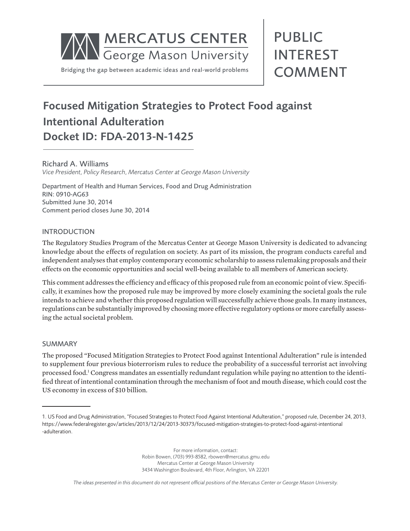

# Focused Mitigation Strategies to Protect Food against Intentional Adulteration Docket ID: FDA-2013-N-1425

Richard A. Williams *Vice President, Policy Research, Mercatus Center at George Mason University*

Department of Health and Human Services, Food and Drug Administration RIN: 0910-AG63 Submitted June 30, 2014 Comment period closes June 30, 2014

#### INTRODUCTION

The Regulatory Studies Program of the Mercatus Center at George Mason University is dedicated to advancing knowledge about the effects of regulation on society. As part of its mission, the program conducts careful and independent analyses that employ contemporary economic scholarship to assess rulemaking proposals and their effects on the economic opportunities and social well-being available to all members of American society.

This comment addresses the efficiency and efficacy of this proposed rule from an economic point of view. Specifically, it examines how the proposed rule may be improved by more closely examining the societal goals the rule intends to achieve and whether this proposed regulation will successfully achieve those goals. In many instances, regulations can be substantially improved by choosing more effective regulatory options or more carefully assessing the actual societal problem.

#### SUMMARY

The proposed "Focused Mitigation Strategies to Protect Food against Intentional Adulteration" rule is intended to supplement four previous bioterrorism rules to reduce the probability of a successful terrorist act involving processed food.1 Congress mandates an essentially redundant regulation while paying no attention to the identified threat of intentional contamination through the mechanism of foot and mouth disease, which could cost the US economy in excess of \$10 billion.

For more information, contact: Robin Bowen, (703) 993-8582, rbowen@mercatus.gmu.edu Mercatus Center at George Mason University 3434 Washington Boulevard, 4th Floor, Arlington, VA 22201

*The ideas presented in this document do not represent official positions of the Mercatus Center or George Mason University.*

<sup>1.</sup> US Food and Drug Administration, "Focused Strategies to Protect Food Against Intentional Adulteration," proposed rule, December 24, 2013, https://www.federalregister.gov/articles/2013/12/24/2013-30373/focused-mitigation-strategies-to-protect-food-against-intentional -adulteration.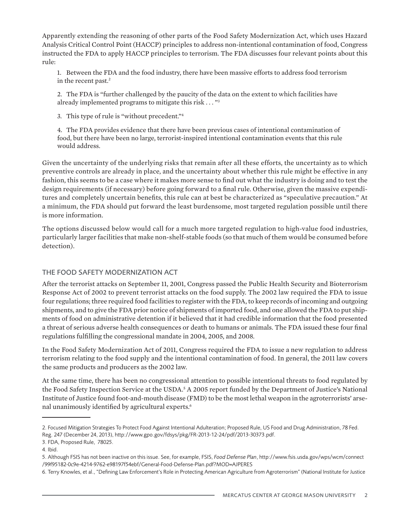Apparently extending the reasoning of other parts of the Food Safety Modernization Act, which uses Hazard Analysis Critical Control Point (HACCP) principles to address non-intentional contamination of food, Congress instructed the FDA to apply HACCP principles to terrorism. The FDA discusses four relevant points about this rule:

1. Between the FDA and the food industry, there have been massive efforts to address food terrorism in the recent past.<sup>2</sup>

2. The FDA is "further challenged by the paucity of the data on the extent to which facilities have already implemented programs to mitigate this risk . . . "3

3. This type of rule is "without precedent."4

4. The FDA provides evidence that there have been previous cases of intentional contamination of food, but there have been no large, terrorist-inspired intentional contamination events that this rule would address.

Given the uncertainty of the underlying risks that remain after all these efforts, the uncertainty as to which preventive controls are already in place, and the uncertainty about whether this rule might be effective in any fashion, this seems to be a case where it makes more sense to find out what the industry is doing and to test the design requirements (if necessary) before going forward to a final rule. Otherwise, given the massive expenditures and completely uncertain benefits, this rule can at best be characterized as "speculative precaution." At a minimum, the FDA should put forward the least burdensome, most targeted regulation possible until there is more information.

The options discussed below would call for a much more targeted regulation to high-value food industries, particularly larger facilities that make non-shelf-stable foods (so that much of them would be consumed before detection).

## THE FOOD SAFETY MODERNIZATION ACT

After the terrorist attacks on September 11, 2001, Congress passed the Public Health Security and Bioterrorism Response Act of 2002 to prevent terrorist attacks on the food supply. The 2002 law required the FDA to issue four regulations; three required food facilities to register with the FDA, to keep records of incoming and outgoing shipments, and to give the FDA prior notice of shipments of imported food, and one allowed the FDA to put shipments of food on administrative detention if it believed that it had credible information that the food presented a threat of serious adverse health consequences or death to humans or animals. The FDA issued these four final regulations fulfilling the congressional mandate in 2004, 2005, and 2008.

In the Food Safety Modernization Act of 2011, Congress required the FDA to issue a new regulation to address terrorism relating to the food supply and the intentional contamination of food. In general, the 2011 law covers the same products and producers as the 2002 law.

At the same time, there has been no congressional attention to possible intentional threats to food regulated by the Food Safety Inspection Service at the USDA.<sup>5</sup> A 2005 report funded by the Department of Justice's National Institute of Justice found foot-and-mouth disease (FMD) to be the most lethal weapon in the agroterrorists' arsenal unanimously identified by agricultural experts.<sup>6</sup>

<sup>2.</sup> Focused Mitigation Strategies To Protect Food Against Intentional Adulteration; Proposed Rule, US Food and Drug Administration, 78 Fed. Reg. 247 (December 24, 2013), http://www.gpo.gov/fdsys/pkg/FR-2013-12-24/pdf/2013-30373.pdf.

<sup>3.</sup> FDA, Proposed Rule, 78025.

<sup>4.</sup> Ibid.

<sup>5.</sup> Although FSIS has not been inactive on this issue. See, for example, FSIS, *Food Defense Plan*, [http://www.fsis.usda.gov/wps/wcm/connect](http://www.fsis.usda.gov/wps/wcm/connect/99f95182-0c9e-4214-9762-e98197f54ebf/General-Food-Defense-Plan.pdf?MOD=AJPERES) [/99f95182-0c9e-4214-9762-e98197f54ebf/General-Food-Defense-Plan.pdf?MOD=AJPERES](http://www.fsis.usda.gov/wps/wcm/connect/99f95182-0c9e-4214-9762-e98197f54ebf/General-Food-Defense-Plan.pdf?MOD=AJPERES)

<sup>6.</sup> Terry Knowles, et al., "Defining Law Enforcement's Role in Protecting American Agriculture from Agroterrorism" (National Institute for Justice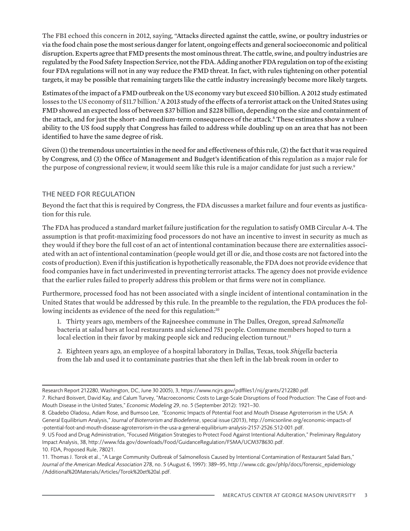The FBI echoed this concern in 2012, saying, "Attacks directed against the cattle, swine, or poultry industries or via the food chain pose the most serious danger for latent, ongoing effects and general socioeconomic and political disruption. Experts agree that FMD presents the most ominous threat. The cattle, swine, and poultry industries are regulated by the Food Safety Inspection Service, not the FDA. Adding another FDA regulation on top of the existing four FDA regulations will not in any way reduce the FMD threat. In fact, with rules tightening on other potential targets, it may be possible that remaining targets like the cattle industry increasingly become more likely targets.

Estimates of the impact of a FMD outbreak on the US economy vary but exceed \$10 billion. A 2012 study estimated losses to the US economy of \$11.7 billion.<sup>7</sup> A 2013 study of the effects of a terrorist attack on the United States using FMD showed an expected loss of between \$37 billion and \$228 billion, depending on the size and containment of the attack, and for just the short- and medium-term consequences of the attack.<sup>8</sup> These estimates show a vulnerability to the US food supply that Congress has failed to address while doubling up on an area that has not been identified to have the same degree of risk.

Given (1) the tremendous uncertainties in the need for and effectiveness of this rule, (2) the fact that it was required by Congress, and (3) the Office of Management and Budget's identification of this regulation as a major rule for the purpose of congressional review, it would seem like this rule is a major candidate for just such a review.<sup>9</sup>

## THE NEED FOR REGULATION

Beyond the fact that this is required by Congress, the FDA discusses a market failure and four events as justification for this rule.

The FDA has produced a standard market failure justification for the regulation to satisfy OMB Circular A-4. The assumption is that profit-maximizing food processors do not have an incentive to invest in security as much as they would if they bore the full cost of an act of intentional contamination because there are externalities associated with an act of intentional contamination (people would get ill or die, and those costs are not factored into the costs of production). Even if this justification is hypothetically reasonable, the FDA does not provide evidence that food companies have in fact underinvested in preventing terrorist attacks. The agency does not provide evidence that the earlier rules failed to properly address this problem or that firms were not in compliance.

Furthermore, processed food has not been associated with a single incident of intentional contamination in the United States that would be addressed by this rule. In the preamble to the regulation, the FDA produces the following incidents as evidence of the need for this regulation:<sup>10</sup>

1. Thirty years ago, members of the Rajneeshee commune in The Dalles, Oregon, spread *Salmonella* bacteria at salad bars at local restaurants and sickened 751 people. Commune members hoped to turn a local election in their favor by making people sick and reducing election turnout.<sup>11</sup>

2. Eighteen years ago, an employee of a hospital laboratory in Dallas, Texas, took *Shigella* bacteria from the lab and used it to contaminate pastries that she then left in the lab break room in order to

Research Report 212280, Washington, DC, June 30 2005), 3,<https://www.ncjrs.gov/pdffiles1/nij/grants/212280.pdf>.

<sup>7.</sup> Richard Boisvert, David Kay, and Calum Turvey, "Macroeconomic Costs to Large-Scale Disruptions of Food Production: The Case of Foot-and-Mouth Disease in the United States," *Economic Modeling* 29, no. 5 (September 2012): 1921–30.

<sup>8.</sup> Gbadebo Oladosu, Adam Rose, and Bumsoo Lee, "Economic Impacts of Potential Foot and Mouth Disease Agroterrorism in the USA: A General Equilibrium Analysis," *Journal of Bioterrorism and Biodefense*, special issue (2013), http://omicsonline.org/economic-impacts-of -potential-foot-and-mouth-disease-agroterrorism-in-the-usa-a-general-equilibrium-analysis-2157-2526.S12-001.pdf.

<sup>9.</sup> US Food and Drug Administration, "Focused Mitigation Strategies to Protect Food Against Intentional Adulteration," Preliminary Regulatory Impact Analysis, 38, http://www.fda.gov/downloads/Food/GuidanceRegulation/FSMA/UCM378630.pdf. 10. FDA, Proposed Rule, 78021.

<sup>11.</sup> Thomas J. Torok et al., "A Large Community Outbreak of Salmonellosis Caused by Intentional Contamination of Restaurant Salad Bars," *Journal of the American Medical Association* 278, no. 5 (August 6, 1997): 389–95, http://www.cdc.gov/phlp/docs/forensic\_epidemiology /Additional%20Materials/Articles/Torok%20et%20al.pdf.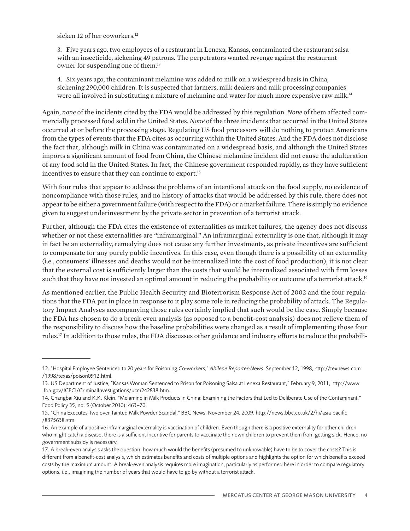sicken 12 of her coworkers.<sup>12</sup>

3. Five years ago, two employees of a restaurant in Lenexa, Kansas, contaminated the restaurant salsa with an insecticide, sickening 49 patrons. The perpetrators wanted revenge against the restaurant owner for suspending one of them.13

4. Six years ago, the contaminant melamine was added to milk on a widespread basis in China, sickening 290,000 children. It is suspected that farmers, milk dealers and milk processing companies were all involved in substituting a mixture of melamine and water for much more expensive raw milk.<sup>14</sup>

Again, *none* of the incidents cited by the FDA would be addressed by this regulation. *None* of them affected commercially processed food sold in the United States. *None* of the three incidents that occurred in the United States occurred at or before the processing stage. Regulating US food processors will do nothing to protect Americans from the types of events that the FDA cites as occurring within the United States. And the FDA does not disclose the fact that, although milk in China was contaminated on a widespread basis, and although the United States imports a significant amount of food from China, the Chinese melamine incident did not cause the adulteration of any food sold in the United States. In fact, the Chinese government responded rapidly, as they have sufficient incentives to ensure that they can continue to export.<sup>15</sup>

With four rules that appear to address the problems of an intentional attack on the food supply, no evidence of noncompliance with those rules, and no history of attacks that would be addressed by this rule, there does not appear to be either a government failure (with respect to the FDA) or a market failure. There is simply no evidence given to suggest underinvestment by the private sector in prevention of a terrorist attack.

Further, although the FDA cites the existence of externalities as market failures, the agency does not discuss whether or not these externalities are "inframarginal." An inframarginal externality is one that, although it may in fact be an externality, remedying does not cause any further investments, as private incentives are sufficient to compensate for any purely public incentives. In this case, even though there is a possibility of an externality (i.e., consumers' illnesses and deaths would not be internalized into the cost of food production), it is not clear that the external cost is sufficiently larger than the costs that would be internalized associated with firm losses such that they have not invested an optimal amount in reducing the probability or outcome of a terrorist attack.<sup>16</sup>

As mentioned earlier, the Public Health Security and Bioterrorism Response Act of 2002 and the four regulations that the FDA put in place in response to it play some role in reducing the probability of attack. The Regulatory Impact Analyses accompanying those rules certainly implied that such would be the case. Simply because the FDA has chosen to do a break-even analysis (as opposed to a benefit-cost analysis) does not relieve them of the responsibility to discuss how the baseline probabilities were changed as a result of implementing those four rules.17 In addition to those rules, the FDA discusses other guidance and industry efforts to reduce the probabili-

<sup>12. &</sup>quot;Hospital Employee Sentenced to 20 years for Poisoning Co-workers," *Abilene Reporter-News*, September 12, 1998, http://texnews.com /1998/texas/poison0912.html.

<sup>13.</sup> US Department of Justice, "Kansas Woman Sentenced to Prison for Poisoning Salsa at Lenexa Restaurant," February 9, 2011, http://www .fda.gov/ICECI/CriminalInvestigations/ucm242838.htm.

<sup>14.</sup> Changbai Xiu and K.K. Klein, "Melamine in Milk Products in China: Examining the Factors that Led to Deliberate Use of the Contaminant," Food Policy 35, no. 5 (October 2010): 463–70.

<sup>15. &</sup>quot;China Executes Two over Tainted Milk Powder Scandal," BBC News, November 24, 2009, http://news.bbc.co.uk/2/hi/asia-pacific /8375638.stm.

<sup>16.</sup> An example of a positive inframarginal externality is vaccination of children. Even though there is a positive externality for other children who might catch a disease, there is a sufficient incentive for parents to vaccinate their own children to prevent them from getting sick. Hence, no government subsidy is necessary.

<sup>17.</sup> A break-even analysis asks the question, how much would the benefits (presumed to unknowable) have to be to cover the costs? This is different from a benefit-cost analysis, which estimates benefits and costs of multiple options and highlights the option for which benefits exceed costs by the maximum amount. A break-even analysis requires more imagination, particularly as performed here in order to compare regulatory options, i.e., imagining the number of years that would have to go by without a terrorist attack.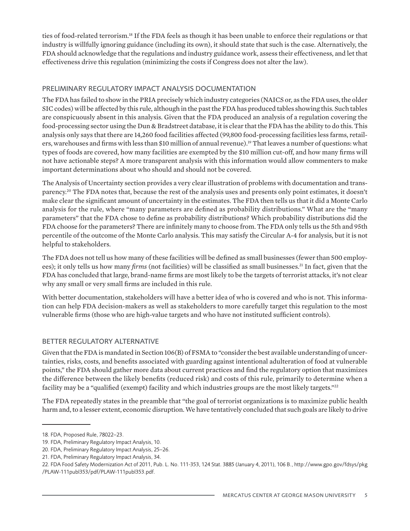ties of food-related terrorism.18 If the FDA feels as though it has been unable to enforce their regulations or that industry is willfully ignoring guidance (including its own), it should state that such is the case. Alternatively, the FDA should acknowledge that the regulations and industry guidance work, assess their effectiveness, and let that effectiveness drive this regulation (minimizing the costs if Congress does not alter the law).

# PRELIMINARY REGULATORY IMPACT ANALYSIS DOCUMENTATION

The FDA has failed to show in the PRIA precisely which industry categories (NAICS or, as the FDA uses, the older SIC codes) will be affected by this rule, although in the past the FDA has produced tables showing this. Such tables are conspicuously absent in this analysis. Given that the FDA produced an analysis of a regulation covering the food-processing sector using the Dun & Bradstreet database, it is clear that the FDA has the ability to do this. This analysis only says that there are 14,260 food facilities affected (99,800 food-processing facilities less farms, retailers, warehouses and firms with less than \$10 million of annual revenue).<sup>19</sup> That leaves a number of questions: what types of foods are covered, how many facilities are exempted by the \$10 million cut-off, and how many firms will not have actionable steps? A more transparent analysis with this information would allow commenters to make important determinations about who should and should not be covered.

The Analysis of Uncertainty section provides a very clear illustration of problems with documentation and transparency.20 The FDA notes that, because the rest of the analysis uses and presents only point estimates, it doesn't make clear the significant amount of uncertainty in the estimates. The FDA then tells us that it did a Monte Carlo analysis for the rule, where "many parameters are defined as probability distributions." What are the "many parameters" that the FDA chose to define as probability distributions? Which probability distributions did the FDA choose for the parameters? There are infinitely many to choose from. The FDA only tells us the 5th and 95th percentile of the outcome of the Monte Carlo analysis. This may satisfy the Circular A-4 for analysis, but it is not helpful to stakeholders.

The FDA does not tell us how many of these facilities will be defined as small businesses (fewer than 500 employees); it only tells us how many *firms* (not facilities) will be classified as small businesses.<sup>21</sup> In fact, given that the FDA has concluded that large, brand-name firms are most likely to be the targets of terrorist attacks, it's not clear why any small or very small firms are included in this rule.

With better documentation, stakeholders will have a better idea of who is covered and who is not. This information can help FDA decision-makers as well as stakeholders to more carefully target this regulation to the most vulnerable firms (those who are high-value targets and who have not instituted sufficient controls).

## BETTER REGULATORY ALTERNATIVE

Given that the FDA is mandated in Section 106(B) of FSMA to "consider the best available understanding of uncertainties, risks, costs, and benefits associated with guarding against intentional adulteration of food at vulnerable points," the FDA should gather more data about current practices and find the regulatory option that maximizes the difference between the likely benefits (reduced risk) and costs of this rule, primarily to determine when a facility may be a "qualified (exempt) facility and which industries groups are the most likely targets."22

The FDA repeatedly states in the preamble that "the goal of terrorist organizations is to maximize public health harm and, to a lesser extent, economic disruption. We have tentatively concluded that such goals are likely to drive

<sup>18.</sup> FDA, Proposed Rule, 78022–23.

<sup>19.</sup> FDA, Preliminary Regulatory Impact Analysis, 10.

<sup>20.</sup> FDA, Preliminary Regulatory Impact Analysis, 25–26.

<sup>21.</sup> FDA, Preliminary Regulatory Impact Analysis, 34.

<sup>22.</sup> FDA Food Safety Modernization Act of 2011, Pub. L. No. 111-353, 124 Stat. 3885 (January 4, 2011), 106 B., http://www.gpo.gov/fdsys/pkg /PLAW-111publ353/pdf/PLAW-111publ353.pdf.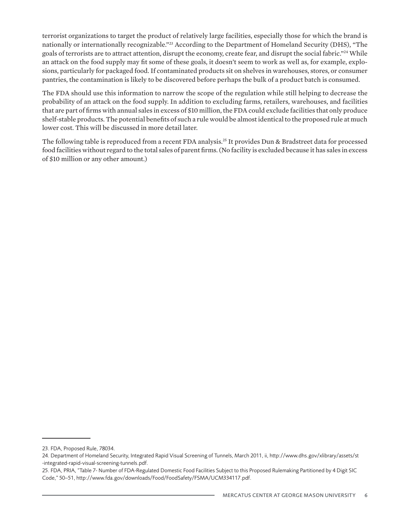terrorist organizations to target the product of relatively large facilities, especially those for which the brand is nationally or internationally recognizable."23 According to the Department of Homeland Security (DHS), "The goals of terrorists are to attract attention, disrupt the economy, create fear, and disrupt the social fabric."24 While an attack on the food supply may fit some of these goals, it doesn't seem to work as well as, for example, explosions, particularly for packaged food. If contaminated products sit on shelves in warehouses, stores, or consumer pantries, the contamination is likely to be discovered before perhaps the bulk of a product batch is consumed.

The FDA should use this information to narrow the scope of the regulation while still helping to decrease the probability of an attack on the food supply. In addition to excluding farms, retailers, warehouses, and facilities that are part of firms with annual sales in excess of \$10 million, the FDA could exclude facilities that only produce shelf-stable products. The potential benefits of such a rule would be almost identical to the proposed rule at much lower cost. This will be discussed in more detail later.

The following table is reproduced from a recent FDA analysis.25 It provides Dun & Bradstreet data for processed food facilities without regard to the total sales of parent firms. (No facility is excluded because it has sales in excess of \$10 million or any other amount.)

<sup>23.</sup> FDA, Proposed Rule, 78034.

<sup>24.</sup> Department of Homeland Security, Integrated Rapid Visual Screening of Tunnels, March 2011, ii, http://www.dhs.gov/xlibrary/assets/st -integrated-rapid-visual-screening-tunnels.pdf.

<sup>25.</sup> FDA, PRIA, "Table 7- Number of FDA-Regulated Domestic Food Facilities Subject to this Proposed Rulemaking Partitioned by 4 Digit SIC Code," 50–51, http://www.fda.gov/downloads/Food/FoodSafety/FSMA/UCM334117.pdf.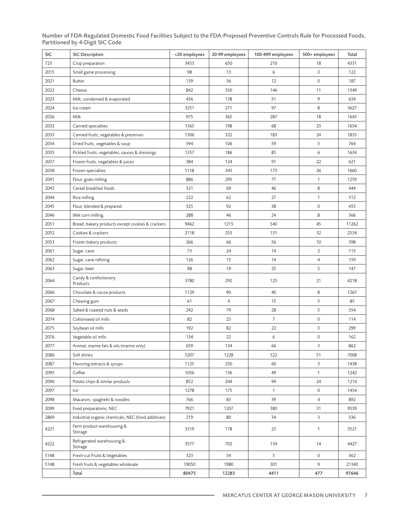Number of FDA-Regulated Domestic Food Facilities Subject to the FDA-Proposed Preventive Controls Rule for Processed Foods, Partitioned by 4-Digit SIC Code

| SIC  | <b>SIC Description</b>                             | <20 employees | 20-99 employees | 100-499 employees | 500+ employees      | Total |
|------|----------------------------------------------------|---------------|-----------------|-------------------|---------------------|-------|
| 723  | Crop preparation                                   | 3453          | 650             | 210               | 18                  | 4331  |
| 2015 | Small game processing                              | 98            | 13              | 6                 | 3                   | 122   |
| 2021 | <b>Butter</b>                                      | 139           | 36              | 12                | $\mathsf{O}\xspace$ | 187   |
| 2022 | Cheese                                             | 842           | 350             | 146               | 11                  | 1349  |
| 2023 | Milk, condensed & evaporated                       | 436           | 138             | 51                | 9                   | 634   |
| 2024 | Ice cream                                          | 3251          | 271             | 97                | 8                   | 3627  |
| 2026 | Milk                                               | 975           | 365             | 287               | 18                  | 1645  |
| 2032 | Canned specialties                                 | 1365          | 198             | 68                | 23                  | 1654  |
| 2033 | Canned fruits, vegetables & preserves              | 1306          | 322             | 183               | 24                  | 1835  |
| 2034 | Dried fruits, vegetables & soup                    | 594           | 106             | 59                | 5                   | 764   |
| 2035 | Pickled fruits, vegetables, sauces & dressings     | 1357          | 186             | 85                | 6                   | 1634  |
| 2037 | Frozen fruits, vegetables & juices                 | 384           | 124             | 91                | 22                  | 621   |
| 2038 | Frozen specialties                                 | 1118          | 343             | 173               | 26                  | 1660  |
| 2041 | Flour, grain milling                               | 886           | 295             | 77                | $\mathbf{1}$        | 1259  |
| 2043 | Cereal breakfast foods                             | 321           | 69              | 46                | 8                   | 444   |
| 2044 | Rice milling                                       | 222           | 62              | 27                | $\mathbf{1}$        | 312   |
| 2045 | Flour, blended & prepared                          | 325           | 92              | 38                | 0                   | 455   |
| 2046 | Wet corn milling                                   | 288           | 46              | 24                | 8                   | 366   |
| 2051 | Bread, bakery products except cookies & crackers   | 9462          | 1215            | 540               | 45                  | 11262 |
| 2052 | Cookies & crackers                                 | 2118          | 253             | 131               | 32                  | 2534  |
| 2053 | Frozen bakery products                             | 266           | 66              | 56                | 10                  | 398   |
| 2061 | Sugar, cane                                        | 73            | 24              | 14                | 2                   | 113   |
| 2062 | Sugar, cane refining                               | 126           | 15              | 14                | 4                   | 159   |
| 2063 | Sugar, beet                                        | 98            | 19              | 25                | 5                   | 147   |
| 2064 | Candy & confectionery<br>Products                  | 3780          | 292             | 125               | 21                  | 4218  |
| 2066 | Chocolate & cocoa products                         | 1129          | 90              | 40                | 8                   | 1267  |
| 2067 | Chewing gum                                        | 61            | 4               | 15                | 5                   | 85    |
| 2068 | Salted & roasted nuts & seeds                      | 242           | 79              | 28                | 5                   | 354   |
| 2074 | Cottonseed oil mills                               | 82            | 25              | $\overline{7}$    | 0                   | 114   |
| 2075 | Soybean oil mills                                  | 192           | 82              | 22                | 3                   | 299   |
| 2076 | Vegetable oil mills                                | 134           | 22              | 6                 | $\mathbf 0$         | 162   |
| 2077 | Animal, marine fats & oils (marine only)           | 659           | 134             | 66                | 3                   | 862   |
| 2086 | Soft drinks                                        | 5207          | 1228            | 522               | 51                  | 7008  |
| 2087 | Flavoring extracts & syrups                        | 1125          | 250             | 60                | 3                   | 1438  |
| 2095 | Coffee                                             | 1056          | 136             | 49                | $\mathbf{1}$        | 1242  |
| 2096 | Potato chips & similar products                    | 852           | 244             | 94                | 24                  | 1214  |
| 2097 | Ice                                                | 1278          | 175             | $\mathbf{1}$      | $\mathsf{O}\xspace$ | 1454  |
| 2098 | Macaroni, spaghetti & noodles                      | 766           | 83              | 39                | $\overline{4}$      | 892   |
| 2099 | Food preparations, NEC                             | 7921          | 1207            | 380               | 31                  | 9539  |
| 2869 | Industrial organic chemicals, NEC (food additives) | 219           | 80              | 34                | 3                   | 336   |
| 4221 | Farm product warehousing &<br>Storage              | 3319          | 178             | 23                | 1                   | 3521  |
| 4222 | Refrigerated warehousing &<br>Storage              | 3577          | 702             | 134               | 14                  | 4427  |
| 5148 | Fresh-cut Fruits & Vegetables                      | 323           | 34              | 5                 | $\mathbf 0$         | 362   |
| 5148 | Fresh fruits & vegetables wholesale                | 19050         | 1980            | 301               | 9                   | 21340 |
|      | Total                                              | 80475         | 12283           | 4411              | 477                 | 97646 |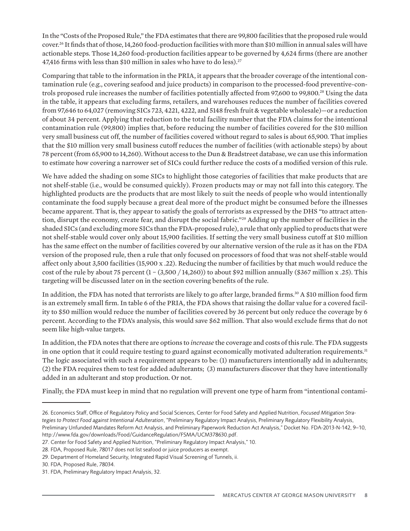In the "Costs of the Proposed Rule," the FDA estimates that there are 99,800 facilities that the proposed rule would cover.26 It finds that of those, 14,260 food-production facilities with more than \$10 million in annual sales will have actionable steps. Those 14,260 food-production facilities appear to be governed by 4,624 firms (there are another 47,416 firms with less than \$10 million in sales who have to do less).<sup>27</sup>

Comparing that table to the information in the PRIA, it appears that the broader coverage of the intentional contamination rule (e.g., covering seafood and juice products) in comparison to the processed-food preventive-controls proposed rule increases the number of facilities potentially affected from 97,600 to 99,800.28 Using the data in the table, it appears that excluding farms, retailers, and warehouses reduces the number of facilities covered from 97,646 to 64,027 (removing SICs 723, 4221, 4222, and 5148 fresh fruit & vegetable wholesale)—or a reduction of about 34 percent. Applying that reduction to the total facility number that the FDA claims for the intentional contamination rule (99,800) implies that, before reducing the number of facilities covered for the \$10 million very small business cut off, the number of facilities covered without regard to sales is about 65,900. That implies that the \$10 million very small business cutoff reduces the number of facilities (with actionable steps) by about 78 percent (from 65,900 to 14,260). Without access to the Dun & Bradstreet database, we can use this information to estimate how covering a narrower set of SICs could further reduce the costs of a modified version of this rule.

We have added the shading on some SICs to highlight those categories of facilities that make products that are not shelf-stable (i.e., would be consumed quickly). Frozen products may or may not fall into this category. The highlighted products are the products that are most likely to suit the needs of people who would intentionally contaminate the food supply because a great deal more of the product might be consumed before the illnesses became apparent. That is, they appear to satisfy the goals of terrorists as expressed by the DHS "to attract attention, disrupt the economy, create fear, and disrupt the social fabric."29 Adding up the number of facilities in the shaded SICs (and excluding more SICs than the FDA-proposed rule), a rule that only applied to products that were not shelf-stable would cover only about 15,900 facilities. If setting the very small business cutoff at \$10 million has the same effect on the number of facilities covered by our alternative version of the rule as it has on the FDA version of the proposed rule, then a rule that only focused on processors of food that was not shelf-stable would affect only about 3,500 facilities (15,900 x .22). Reducing the number of facilities by that much would reduce the cost of the rule by about 75 percent  $(1 - (3,500 / 14,260))$  to about \$92 million annually (\$367 million x .25). This targeting will be discussed later on in the section covering benefits of the rule.

In addition, the FDA has noted that terrorists are likely to go after large, branded firms.<sup>30</sup> A \$10 million food firm is an extremely small firm. In table 6 of the PRIA, the FDA shows that raising the dollar value for a covered facility to \$50 million would reduce the number of facilities covered by 36 percent but only reduce the coverage by 6 percent. According to the FDA's analysis, this would save \$62 million. That also would exclude firms that do not seem like high-value targets.

In addition, the FDA notes that there are options to *increase* the coverage and costs of this rule. The FDA suggests in one option that it could require testing to guard against economically motivated adulteration requirements.<sup>31</sup> The logic associated with such a requirement appears to be: (1) manufacturers intentionally add in adulterants; (2) the FDA requires them to test for added adulterants; (3) manufacturers discover that they have intentionally added in an adulterant and stop production. Or not.

Finally, the FDA must keep in mind that no regulation will prevent one type of harm from "intentional contami-

<sup>26.</sup> Economics Staff, Office of Regulatory Policy and Social Sciences, Center for Food Safety and Applied Nutrition, *Focused Mitigation Strategies to Protect Food against Intentional Adulteration*, "Preliminary Regulatory Impact Analysis, Preliminary Regulatory Flexibility Analysis, Preliminary Unfunded Mandates Reform Act Analysis, and Preliminary Paperwork Reduction Act Analysis," Docket No. FDA-2013-N-142, 9–10, http://www.fda.gov/downloads/Food/GuidanceRegulation/FSMA/UCM378630.pdf.

<sup>27.</sup> Center for Food Safety and Applied Nutrition, "Preliminary Regulatory Impact Analysis," 10.

<sup>28.</sup> FDA, Proposed Rule, 78017 does not list seafood or juice producers as exempt.

<sup>29.</sup> Department of Homeland Security, Integrated Rapid Visual Screening of Tunnels, ii.

<sup>30.</sup> FDA, Proposed Rule, 78034.

<sup>31.</sup> FDA, Preliminary Regulatory Impact Analysis, 32.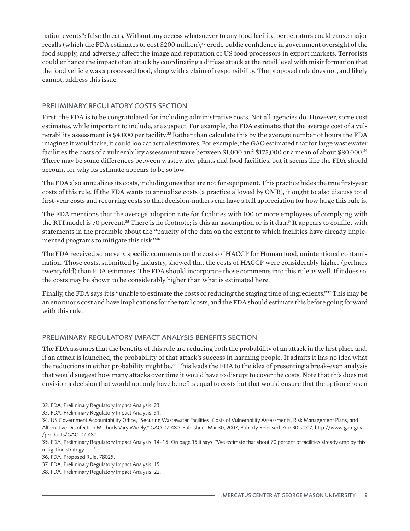nation events": false threats. Without any access whatsoever to any food facility, perpetrators could cause major recalls (which the FDA estimates to cost \$200 million),<sup>32</sup> erode public confidence in government oversight of the food supply, and adversely affect the image and reputation of US food processors in export markets. Terrorists could enhance the impact of an attack by coordinating a diffuse attack at the retail level with misinformation that the food vehicle was a processed food, along with a claim of responsibility. The proposed rule does not, and likely cannot, address this issue.

#### PRELIMINARY REGULATORY COSTS SECTION

First, the FDA is to be congratulated for including administrative costs. Not all agencies do. However, some cost estimates, while important to include, are suspect. For example, the FDA estimates that the average cost of a vulnerability assessment is \$4,800 per facility.<sup>33</sup> Rather than calculate this by the average number of hours the FDA imagines it would take, it could look at actual estimates. For example, the GAO estimated that for large wastewater facilities the costs of a vulnerability assessment were between \$1,000 and \$175,000 or a mean of about \$80,000.34 There may be some differences between wastewater plants and food facilities, but it seems like the FDA should account for why its estimate appears to be so low.

The FDA also annualizes its costs, including ones that are not for equipment. This practice hides the true first-year costs of this rule. If the FDA wants to annualize costs (a practice allowed by OMB), it ought to also discuss total first-year costs and recurring costs so that decision-makers can have a full appreciation for how large this rule is.

The FDA mentions that the average adoption rate for facilities with 100 or more employees of complying with the RTI model is 70 percent.35 There is no footnote; is this an assumption or is it data? It appears to conflict with statements in the preamble about the "paucity of the data on the extent to which facilities have already implemented programs to mitigate this risk."36

The FDA received some very specific comments on the costs of HACCP for Human food, unintentional contamination. Those costs, submitted by industry, showed that the costs of HACCP were considerably higher (perhaps twentyfold) than FDA estimates. The FDA should incorporate those comments into this rule as well. If it does so, the costs may be shown to be considerably higher than what is estimated here.

Finally, the FDA says it is "unable to estimate the costs of reducing the staging time of ingredients."<sup>37</sup> This may be an enormous cost and have implications for the total costs, and the FDA should estimate this before going forward with this rule.

## PRELIMINARY REGULATORY IMPACT ANALYSIS BENEFITS SECTION

The FDA assumes that the benefits of this rule are reducing both the probability of an attack in the first place and, if an attack is launched, the probability of that attack's success in harming people. It admits it has no idea what the reductions in either probability might be.38 This leads the FDA to the idea of presenting a break-even analysis that would suggest how many attacks over time it would have to disrupt to cover the costs. Note that this does not envision a decision that would not only have benefits equal to costs but that would ensure that the option chosen

<sup>32.</sup> FDA, Preliminary Regulatory Impact Analysis, 23.

<sup>33.</sup> FDA, Preliminary Regulatory Impact Analysis, 31.

<sup>34.</sup> US Government Accountability Office, "Securing Wastewater Facilities: Costs of Vulnerability Assessments, Risk Management Plans, and Alternative Disinfection Methods Vary Widely," GAO-07-480: Published: Mar 30, 2007, Publicly Released: Apr 30, 2007, http://www.gao.gov /products/GAO-07-480.

<sup>35.</sup> FDA, Preliminary Regulatory Impact Analysis, 14–15. On page 15 it says, "We estimate that about 70 percent of facilities already employ this mitigation strategy . . . "

<sup>36.</sup> FDA, Proposed Rule, 78025.

<sup>37.</sup> FDA, Preliminary Regulatory Impact Analysis, 15.

<sup>38.</sup> FDA, Preliminary Regulatory Impact Analysis, 22.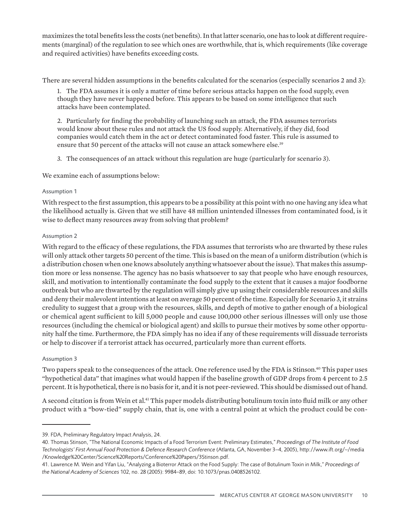maximizes the total benefits less the costs (net benefits). In that latter scenario, one has to look at different requirements (marginal) of the regulation to see which ones are worthwhile, that is, which requirements (like coverage and required activities) have benefits exceeding costs.

There are several hidden assumptions in the benefits calculated for the scenarios (especially scenarios 2 and 3):

1. The FDA assumes it is only a matter of time before serious attacks happen on the food supply, even though they have never happened before. This appears to be based on some intelligence that such attacks have been contemplated.

2. Particularly for finding the probability of launching such an attack, the FDA assumes terrorists would know about these rules and not attack the US food supply. Alternatively, if they did, food companies would catch them in the act or detect contaminated food faster. This rule is assumed to ensure that 50 percent of the attacks will not cause an attack somewhere else.<sup>39</sup>

3. The consequences of an attack without this regulation are huge (particularly for scenario 3).

We examine each of assumptions below:

#### Assumption 1

With respect to the first assumption, this appears to be a possibility at this point with no one having any idea what the likelihood actually is. Given that we still have 48 million unintended illnesses from contaminated food, is it wise to deflect many resources away from solving that problem?

#### Assumption 2

With regard to the efficacy of these regulations, the FDA assumes that terrorists who are thwarted by these rules will only attack other targets 50 percent of the time. This is based on the mean of a uniform distribution (which is a distribution chosen when one knows absolutely anything whatsoever about the issue). That makes this assumption more or less nonsense. The agency has no basis whatsoever to say that people who have enough resources, skill, and motivation to intentionally contaminate the food supply to the extent that it causes a major foodborne outbreak but who are thwarted by the regulation will simply give up using their considerable resources and skills and deny their malevolent intentions at least on average 50 percent of the time. Especially for Scenario 3, it strains credulity to suggest that a group with the resources, skills, and depth of motive to gather enough of a biological or chemical agent sufficient to kill 5,000 people and cause 100,000 other serious illnesses will only use those resources (including the chemical or biological agent) and skills to pursue their motives by some other opportunity half the time. Furthermore, the FDA simply has no idea if any of these requirements will dissuade terrorists or help to discover if a terrorist attack has occurred, particularly more than current efforts.

#### Assumption 3

Two papers speak to the consequences of the attack. One reference used by the FDA is Stinson.<sup>40</sup> This paper uses "hypothetical data" that imagines what would happen if the baseline growth of GDP drops from 4 percent to 2.5 percent. It is hypothetical, there is no basis for it, and it is not peer-reviewed. This should be dismissed out of hand.

A second citation is from Wein et al.<sup>41</sup> This paper models distributing botulinum toxin into fluid milk or any other product with a "bow-tied" supply chain, that is, one with a central point at which the product could be con-

<sup>39.</sup> FDA, Preliminary Regulatory Impact Analysis, 24.

<sup>40.</sup> Thomas Stinson, "The National Economic Impacts of a Food Terrorism Event: Preliminary Estimates," *Proceedings of The Institute of Food Technologists' First Annual Food Protection & Defence Research Conference* (Atlanta, GA, November 3–4, 2005), http://www.ift.org/~/media /Knowledge%20Center/Science%20Reports/Conference%20Papers/3Stinson.pdf.

<sup>41.</sup> Lawrence M. Wein and Yifan Liu, "Analyzing a Bioterror Attack on the Food Supply: The case of Botulinum Toxin in Milk," *Proceedings of the National Academy of Sciences* 102, no. 28 (2005): 9984–89, doi: 10.1073/pnas.0408526102.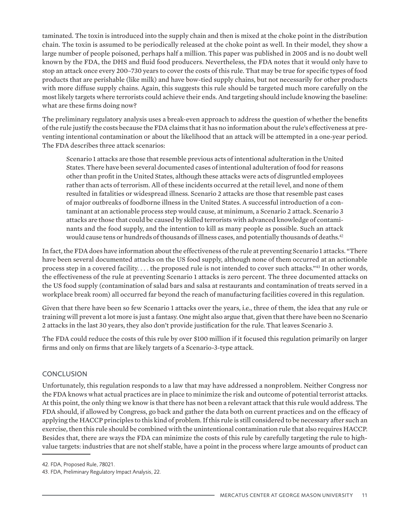taminated. The toxin is introduced into the supply chain and then is mixed at the choke point in the distribution chain. The toxin is assumed to be periodically released at the choke point as well. In their model, they show a large number of people poisoned, perhaps half a million. This paper was published in 2005 and is no doubt well known by the FDA, the DHS and fluid food producers. Nevertheless, the FDA notes that it would only have to stop an attack once every 200–730 years to cover the costs of this rule. That may be true for specific types of food products that are perishable (like milk) and have bow-tied supply chains, but not necessarily for other products with more diffuse supply chains. Again, this suggests this rule should be targeted much more carefully on the most likely targets where terrorists could achieve their ends. And targeting should include knowing the baseline: what are these firms doing now?

The preliminary regulatory analysis uses a break-even approach to address the question of whether the benefits of the rule justify the costs because the FDA claims that it has no information about the rule's effectiveness at preventing intentional contamination or about the likelihood that an attack will be attempted in a one-year period. The FDA describes three attack scenarios:

Scenario 1 attacks are those that resemble previous acts of intentional adulteration in the United States. There have been several documented cases of intentional adulteration of food for reasons other than profit in the United States, although these attacks were acts of disgruntled employees rather than acts of terrorism. All of these incidents occurred at the retail level, and none of them resulted in fatalities or widespread illness. Scenario 2 attacks are those that resemble past cases of major outbreaks of foodborne illness in the United States. A successful introduction of a contaminant at an actionable process step would cause, at minimum, a Scenario 2 attack. Scenario 3 attacks are those that could be caused by skilled terrorists with advanced knowledge of contaminants and the food supply, and the intention to kill as many people as possible. Such an attack would cause tens or hundreds of thousands of illness cases, and potentially thousands of deaths.<sup>42</sup>

In fact, the FDA does have information about the effectiveness of the rule at preventing Scenario 1 attacks. "There have been several documented attacks on the US food supply, although none of them occurred at an actionable process step in a covered facility. . . . the proposed rule is not intended to cover such attacks."43 In other words, the effectiveness of the rule at preventing Scenario 1 attacks is zero percent. The three documented attacks on the US food supply (contamination of salad bars and salsa at restaurants and contamination of treats served in a workplace break room) all occurred far beyond the reach of manufacturing facilities covered in this regulation.

Given that there have been so few Scenario 1 attacks over the years, i.e., three of them, the idea that any rule or training will prevent a lot more is just a fantasy. One might also argue that, given that there have been no Scenario 2 attacks in the last 30 years, they also don't provide justification for the rule. That leaves Scenario 3.

The FDA could reduce the costs of this rule by over \$100 million if it focused this regulation primarily on larger firms and only on firms that are likely targets of a Scenario-3-type attack.

## **CONCLUSION**

Unfortunately, this regulation responds to a law that may have addressed a nonproblem. Neither Congress nor the FDA knows what actual practices are in place to minimize the risk and outcome of potential terrorist attacks. At this point, the only thing we know is that there has not been a relevant attack that this rule would address. The FDA should, if allowed by Congress, go back and gather the data both on current practices and on the efficacy of applying the HACCP principles to this kind of problem. If this rule is still considered to be necessary after such an exercise, then this rule should be combined with the unintentional contamination rule that also requires HACCP. Besides that, there are ways the FDA can minimize the costs of this rule by carefully targeting the rule to highvalue targets: industries that are not shelf stable, have a point in the process where large amounts of product can

<sup>42.</sup> FDA, Proposed Rule, 78021.

<sup>43.</sup> FDA, Preliminary Regulatory Impact Analysis, 22.